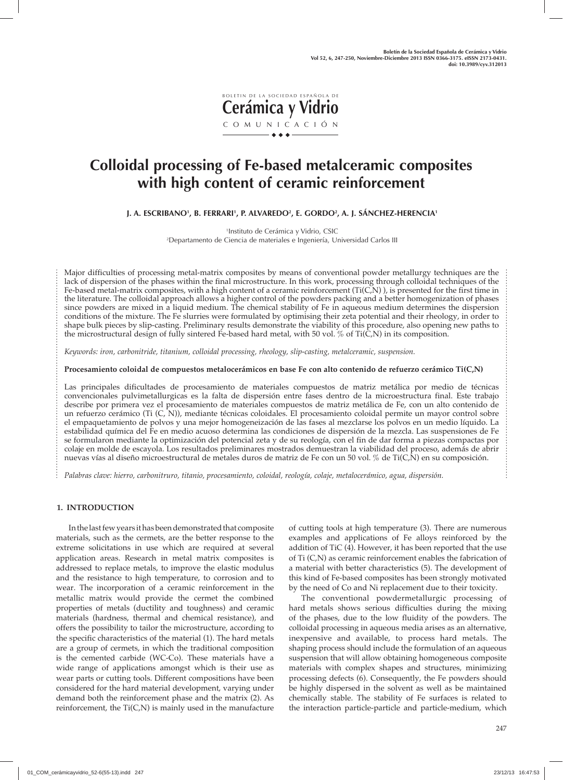

# **Colloidal processing of Fe-based metalceramic composites with high content of ceramic reinforcement**

**J. A. ESCRIBANO1 , B. FERRARI1 , P. ALVAREDO2 , E. GORDO2 , A. J. SÁNCHEZ-HERENCIA1**

1 Instituto de Cerámica y Vidrio, CSIC 2 Departamento de Ciencia de materiales e Ingeniería, Universidad Carlos III

Major difficulties of processing metal-matrix composites by means of conventional powder metallurgy techniques are the lack of dispersion of the phases within the final microstructure. In this work, processing through colloidal techniques of the Fe-based metal-matrix composites, with a high content of a ceramic reinforcement (Ti(C,N) ), is presented for the first time in the literature. The colloidal approach allows a higher control of the powders packing and a better homogenization of phases since powders are mixed in a liquid medium. The chemical stability of Fe in aqueous medium determines the dispersion conditions of the mixture. The Fe slurries were formulated by optimising their zeta potential and their rheology, in order to shape bulk pieces by slip-casting. Preliminary results demonstrate the viability of this procedure, also opening new paths to the microstructural design of fully sintered Fe-based hard metal, with 50 vol. % of Ti(C,N) in its composition.

*Keywords: iron, carbonitride, titanium, colloidal processing, rheology, slip-casting, metalceramic, suspension.* 

**Procesamiento coloidal de compuestos metalocerámicos en base Fe con alto contenido de refuerzo cerámico Ti(C,N)** 

Las principales dificultades de procesamiento de materiales compuestos de matriz metálica por medio de técnicas convencionales pulvimetallurgicas es la falta de dispersión entre fases dentro de la microestructura final. Este trabajo describe por primera vez el procesamiento de materiales compuestos de matriz metálica de Fe, con un alto contenido de un refuerzo cerámico (Ti (C, N)), mediante técnicas coloidales. El procesamiento coloidal permite un mayor control sobre el empaquetamiento de polvos y una mejor homogeneización de las fases al mezclarse los polvos en un medio líquido. La estabilidad química del Fe en medio acuoso determina las condiciones de dispersión de la mezcla. Las suspensiones de Fe se formularon mediante la optimización del potencial zeta y de su reología, con el fin de dar forma a piezas compactas por colaje en molde de escayola. Los resultados preliminares mostrados demuestran la viabilidad del proceso, además de abrir nuevas vías al diseño microestructural de metales duros de matriz de Fe con un 50 vol. % de Ti(C,N) en su composición.

*Palabras clave: hierro, carbonitruro, titanio, procesamiento, coloidal, reología, colaje, metalocerámico, agua, dispersión.*

## **1. INTRODUCTION**

In the last few years it has been demonstrated that composite materials, such as the cermets, are the better response to the extreme solicitations in use which are required at several application areas. Research in metal matrix composites is addressed to replace metals, to improve the elastic modulus and the resistance to high temperature, to corrosion and to wear. The incorporation of a ceramic reinforcement in the metallic matrix would provide the cermet the combined properties of metals (ductility and toughness) and ceramic materials (hardness, thermal and chemical resistance), and offers the possibility to tailor the microstructure, according to the specific characteristics of the material (1). The hard metals are a group of cermets, in which the traditional composition is the cemented carbide (WC-Co). These materials have a wide range of applications amongst which is their use as wear parts or cutting tools. Different compositions have been considered for the hard material development, varying under demand both the reinforcement phase and the matrix (2). As reinforcement, the  $Ti(C, N)$  is mainly used in the manufacture of cutting tools at high temperature (3). There are numerous examples and applications of Fe alloys reinforced by the addition of TiC (4). However, it has been reported that the use of Ti (C,N) as ceramic reinforcement enables the fabrication of a material with better characteristics (5). The development of this kind of Fe-based composites has been strongly motivated by the need of Co and Ni replacement due to their toxicity.

The conventional powdermetallurgic processing of hard metals shows serious difficulties during the mixing of the phases, due to the low fluidity of the powders. The colloidal processing in aqueous media arises as an alternative, inexpensive and available, to process hard metals. The shaping process should include the formulation of an aqueous suspension that will allow obtaining homogeneous composite materials with complex shapes and structures, minimizing processing defects (6). Consequently, the Fe powders should be highly dispersed in the solvent as well as be maintained chemically stable. The stability of Fe surfaces is related to the interaction particle-particle and particle-medium, which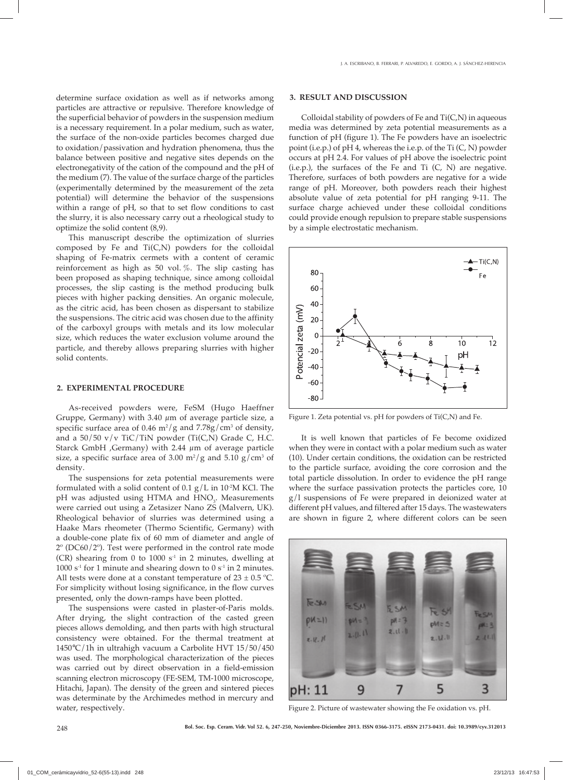determine surface oxidation as well as if networks among particles are attractive or repulsive. Therefore knowledge of the superficial behavior of powders in the suspension medium is a necessary requirement. In a polar medium, such as water, the surface of the non-oxide particles becomes charged due to oxidation/passivation and hydration phenomena, thus the balance between positive and negative sites depends on the electronegativity of the cation of the compound and the pH of the medium (7). The value of the surface charge of the particles (experimentally determined by the measurement of the zeta potential) will determine the behavior of the suspensions within a range of pH, so that to set flow conditions to cast the slurry, it is also necessary carry out a rheological study to optimize the solid content (8,9).

This manuscript describe the optimization of slurries composed by Fe and Ti(C,N) powders for the colloidal shaping of Fe-matrix cermets with a content of ceramic reinforcement as high as 50 vol. %. The slip casting has been proposed as shaping technique, since among colloidal processes, the slip casting is the method producing bulk pieces with higher packing densities. An organic molecule, as the citric acid, has been chosen as dispersant to stabilize the suspensions. The citric acid was chosen due to the affinity of the carboxyl groups with metals and its low molecular size, which reduces the water exclusion volume around the particle, and thereby allows preparing slurries with higher solid contents.

## **2. EXPERIMENTAL PROCEDURE**

As-received powders were, FeSM (Hugo Haeffner Gruppe, Germany) with 3.40 μm of average particle size, a specific surface area of 0.46  $\mathrm{m}^2/\mathrm{g}$  and 7.78g/cm<sup>3</sup> of density, and a  $50/50$  v/v TiC/TiN powder (Ti(C,N) Grade C, H.C. Starck GmbH ,Germany) with 2.44 μm of average particle size, a specific surface area of 3.00 m<sup>2</sup>/g and 5.10 g/cm<sup>3</sup> of density.

The suspensions for zeta potential measurements were formulated with a solid content of 0.1  $g/L$  in 10<sup>-2</sup>M KCl. The  $pH$  was adjusted using HTMA and  $HNO<sub>3</sub>$ . Measurements were carried out using a Zetasizer Nano ZS (Malvern, UK). Rheological behavior of slurries was determined using a Haake Mars rheometer (Thermo Scientific, Germany) with a double-cone plate fix of 60 mm of diameter and angle of 2º (DC60/2º). Test were performed in the control rate mode (CR) shearing from 0 to 1000  $s<sup>-1</sup>$  in 2 minutes, dwelling at 1000  $s<sup>-1</sup>$  for 1 minute and shearing down to 0  $s<sup>-1</sup>$  in 2 minutes. All tests were done at a constant temperature of  $23 \pm 0.5$  °C. For simplicity without losing significance, in the flow curves presented, only the down-ramps have been plotted.

The suspensions were casted in plaster-of-Paris molds. After drying, the slight contraction of the casted green pieces allows demolding, and then parts with high structural consistency were obtained. For the thermal treatment at 1450°C/1h in ultrahigh vacuum a Carbolite HVT 15/50/450 was used. The morphological characterization of the pieces was carried out by direct observation in a field-emission scanning electron microscopy (FE-SEM, TM-1000 microscope, Hitachi, Japan). The density of the green and sintered pieces was determinate by the Archimedes method in mercury and water, respectively.

#### **3. RESULT AND DISCUSSION**

Colloidal stability of powders of Fe and Ti(C,N) in aqueous media was determined by zeta potential measurements as a function of pH (figure 1). The Fe powders have an isoelectric point (i.e.p.) of pH 4, whereas the i.e.p. of the Ti (C, N) powder occurs at pH 2.4. For values of pH above the isoelectric point  $(i.e.p.),$  the surfaces of the Fe and Ti  $(C, N)$  are negative. Therefore, surfaces of both powders are negative for a wide range of pH. Moreover, both powders reach their highest absolute value of zeta potential for pH ranging 9-11. The surface charge achieved under these colloidal conditions could provide enough repulsion to prepare stable suspensions by a simple electrostatic mechanism.



Figure 1. Zeta potential vs. pH for powders of Ti(C,N) and Fe.

It is well known that particles of Fe become oxidized when they were in contact with a polar medium such as water (10). Under certain conditions, the oxidation can be restricted to the particle surface, avoiding the core corrosion and the total particle dissolution. In order to evidence the pH range where the surface passivation protects the particles core, 10 g/l suspensions of Fe were prepared in deionized water at different pH values, and filtered after 15 days. The wastewaters are shown in figure 2, where different colors can be seen



Figure 2. Picture of wastewater showing the Fe oxidation vs. pH.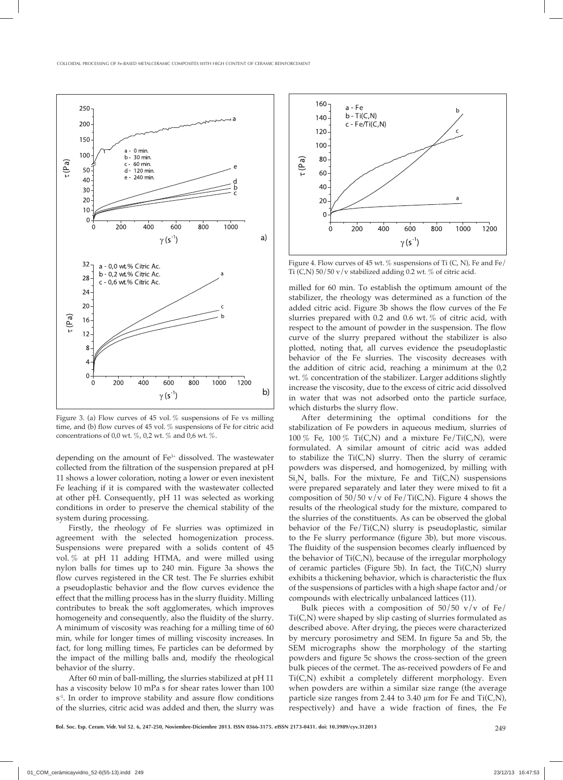

Figure 3. (a) Flow curves of 45 vol. % suspensions of Fe vs milling time, and (b) flow curves of 45 vol. % suspensions of Fe for citric acid concentrations of 0,0 wt.  $\%$ , 0,2 wt.  $\%$  and 0,6 wt.  $\%$ .

depending on the amount of  $Fe<sup>3+</sup>$  dissolved. The wastewater collected from the filtration of the suspension prepared at pH 11 shows a lower coloration, noting a lower or even inexistent Fe leaching if it is compared with the wastewater collected at other pH. Consequently, pH 11 was selected as working conditions in order to preserve the chemical stability of the system during processing.

Firstly, the rheology of Fe slurries was optimized in agreement with the selected homogenization process. Suspensions were prepared with a solids content of 45 vol. % at pH 11 adding HTMA, and were milled using nylon balls for times up to 240 min. Figure 3a shows the flow curves registered in the CR test. The Fe slurries exhibit a pseudoplastic behavior and the flow curves evidence the effect that the milling process has in the slurry fluidity. Milling contributes to break the soft agglomerates, which improves homogeneity and consequently, also the fluidity of the slurry. A minimum of viscosity was reaching for a milling time of 60 min, while for longer times of milling viscosity increases. In fact, for long milling times, Fe particles can be deformed by the impact of the milling balls and, modify the rheological behavior of the slurry.

After 60 min of ball-milling, the slurries stabilized at pH 11 has a viscosity below 10 mPa s for shear rates lower than 100 s<sup>-1</sup>. In order to improve stability and assure flow conditions of the slurries, citric acid was added and then, the slurry was



Figure 4. Flow curves of 45 wt.  $\%$  suspensions of Ti (C, N), Fe and Fe/ Ti  $(C,N)$  50/50 v/v stabilized adding 0.2 wt. % of citric acid.

milled for 60 min. To establish the optimum amount of the stabilizer, the rheology was determined as a function of the added citric acid. Figure 3b shows the flow curves of the Fe slurries prepared with 0.2 and 0.6 wt. % of citric acid, with respect to the amount of powder in the suspension. The flow curve of the slurry prepared without the stabilizer is also plotted, noting that, all curves evidence the pseudoplastic behavior of the Fe slurries. The viscosity decreases with the addition of citric acid, reaching a minimum at the 0,2 wt. % concentration of the stabilizer. Larger additions slightly increase the viscosity, due to the excess of citric acid dissolved in water that was not adsorbed onto the particle surface, which disturbs the slurry flow.

After determining the optimal conditions for the stabilization of Fe powders in aqueous medium, slurries of 100 % Fe, 100 % Ti(C,N) and a mixture Fe/Ti(C,N), were formulated. A similar amount of citric acid was added to stabilize the Ti(C,N) slurry. Then the slurry of ceramic powders was dispersed, and homogenized, by milling with  $\rm Si_{3}N_{4}$  balls. For the mixture, Fe and Ti(C,N) suspensions were prepared separately and later they were mixed to fit a composition of  $50/50$  v/v of Fe/Ti(C,N). Figure 4 shows the results of the rheological study for the mixture, compared to the slurries of the constituents. As can be observed the global behavior of the  $Fe/Ti(C,N)$  slurry is pseudoplastic, similar to the Fe slurry performance (figure 3b), but more viscous. The fluidity of the suspension becomes clearly influenced by the behavior of Ti(C,N), because of the irregular morphology of ceramic particles (Figure 5b). In fact, the Ti(C,N) slurry exhibits a thickening behavior, which is characteristic the flux of the suspensions of particles with a high shape factor and/or compounds with electrically unbalanced lattices (11).

Bulk pieces with a composition of  $50/50$  v/v of Fe/ Ti(C,N) were shaped by slip casting of slurries formulated as described above. After drying, the pieces were characterized by mercury porosimetry and SEM. In figure 5a and 5b, the SEM micrographs show the morphology of the starting powders and figure 5c shows the cross-section of the green bulk pieces of the cermet. The as-received powders of Fe and Ti(C,N) exhibit a completely different morphology. Even when powders are within a similar size range (the average particle size ranges from 2.44 to 3.40  $\mu$ m for Fe and Ti(C,N), respectively) and have a wide fraction of fines, the Fe